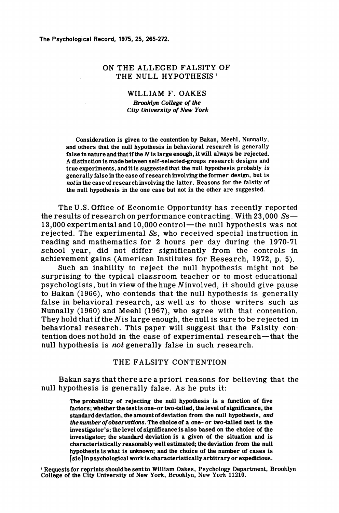The Psychological Record, 1975, 25, 265-272.

### ON THE ALLEGED FALSITY OF THE NULL HYPOTHESIS<sup>1</sup>

#### WILLIAM F. OAKES

**Brooklyn College of the** *City University of New York* 

Consideration is given to the contention-by Bakan, Meehl, Nunnally, and others that the null hypothesis in behavioral research is generally false in nature and that if the *N* is large enough, it will always be rejected. A distinction is made between self-selected-groups research designs and true experiments, and it is suggested that the null hypothesis probably *is*  gene rally false in the ca se of research involving the former design, but is *not* in the case of research involving the latter. Reasons for the falsity of the null hypothesis in the one case but not in the other are suggested.

The U.S. Office of Economic Opportunity has recently reported the results of research on performance contracting. With  $23.000 Ss$ — 13,000 experimental and 10,000 control-the null hypothesis was not rejected. The experimental Ss, who received special instruction in reading and mathematics for 2 hours per day during the 1970-71 school year, did not differ significantly from the controls in achievement gains (American Institutes for Research, 1972, p. 5).

Such an inability to reject the null hypothesis might not be surprising to the typical classroom teacher or to most educational psychologists, but in view of the huge Ninvolved, it should give pause to Bakan (1966), who contends that the null hypothesis is generally false in behavioral research, as weIl as to those writers such as Nunnally (1960) and Meehl (1967), who agree with that contention. They hold that if the *Nis* large enough, the null is sure to be rejected in behavioral research. This paper will suggest that the Falsity contention does not hold in the case of experimental research—that the null hypothesis is *not* generally false in such research.

### THE FALSITY CONTENTION

Bakan says that there are apriori reasons for believing that the null hypothesis is generally false. As he puts it:

> The probability of rejecting the null hypothesis 1s a function of five factors; whether the test is one-or two-tailed, the level of significance, the standard deviation, the amount of deviation from the null hypothesis , *and*  the number of observations. The choice of a one- or two-tailed test is the investigator's; the level of significance is also based on the choice of the investigator; the standard deviation is a given of the situation and is characteristically reasonably well estirnated; the deviation from the null hypothesis is what is unknown; and the choice of the nurnber of cases is [sic] in psychological work is characteristically arbitrary or expeditious.

1 Requests for reprints should be sent to William üakes, Psychology Department, Brooklyn College of the City University of New York, Brooklyn, New York 11210.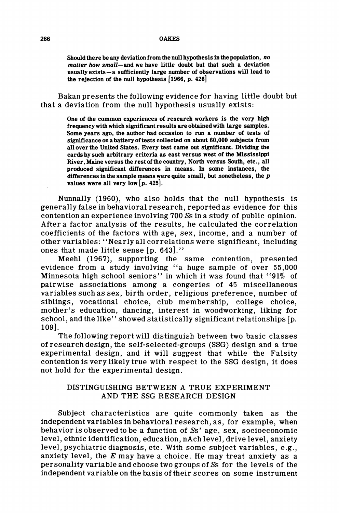Should there be any deviation from the null hypothesis in the population, no matter how small-and we have little doubt but that such a deviation usuallyexists-a sufficiently large number of observations will lead to the rejection of the null hypothesis [1966, p. 426]

Bakan presents the following evidence for having little doubt but that a deviation from the null hypothesis usually exists:

> One of the common experiences of research workers is the very high frequency with which significant results are obtained with large sampies. Some years ago, the author had occasion to run a number of tests of significance on a battery of tests collected on about 60,000 subjects from all over the United States. Every test came out significant. Dividing the cards by such arbitrary criteria as east versus west of the Mississippi River, Maine versus the rest of the country, North versus South, etc., all produced significant differences in means. In some instances, the differences in the sampie means were quite small, but nonetheless, the *p*  values were all very low  $[p. 425]$ .

Nunnally (1960), who also holds that the null hypothesis is generally false in behavioral research, reported as evidence for this contention an experience involving 700 Ss in a study of public opinion. After a factor analysis of the results, he calculated the correlation coefficients of the factors with age, sex, income, and a number of other variables: "Nearly all correlations were significant, including ones that made little sense  $[p, 643]$ ."

Meehl (1967), supporting the same contention, presented evidence from a study involving "a huge sample of over 55,000 Minnesota high school seniors" in which it was found that "91% of pairwise associations among a congeries of 45 miscellaneous variables such as sex, birth order, religious preference, number of siblings, vocational choice, club membership, college choice, mother's education, dancing, interest in woodworking, liking for school, and the like" showed statistically significant relationships [p. 109].

The following report will distinguish between two basic classes of research design, the self-selected-groups (SSG) design and a true experimental design, and it will suggest that while the Falsity contention is very likely true with respect to the SSG design, it does not hold for the experimental design.

# DISTINGUISHING BETWEEN A TRUE EXPERIMENT AND THE SSG RESEARCH DESIGN

Subject characteristics are quite commonly taken as the independent variables in behavioral research, as, for example, when behavior is observed to be a function of Ss' age, sex, socioeconomic level, ethnic identification, education, nAch level, drive level, anxiety level, psychiatric diagnosis, etc. With some subject variables, e.g., anxiety level, the *E* may have a choice. He may treat anxiety as a personality variable and choose two groups of Ss for the levels of the independent variable on the basis oftheir scores on some instrument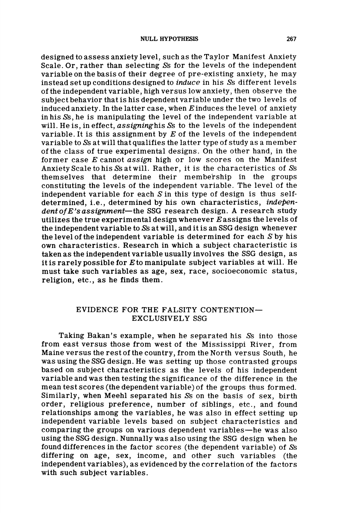designed to assess anxiety level, such as the Taylor Manifest Anxiety Scale. Or, rather than selecting Ss for the levels of the independent variable on the basis of their degree of pre-existing anxiety, he may instead set up conditions designed to *induce* in his Ss different levels of the independent variable, high versus low anxiety, then observe the subject behavior that is his dependent variable under the two levels of induced anxiety. In the latter case, when  $E$  induces the level of anxiety in his Ss, he is manipulating the level of the independent variable at will. He is, in effect, *assigninghis* Ss to the levels of the independent variable. It is this assignment by *E* of the levels of the independent variable to Ss at will that qualifies the latter type of study as a member ofthe class of true experimental designs. On the other hand, in the former case *E* cannot *assign* high or low scores on the Manifest Anxiety Scale to his Ss at will. Rather, it is the characteristics of Ss themselves that determine their membership in the groups constituting the levels of the independent variable. The level of the independent variable for each  $S$  in this type of design is thus selfdetermined, i.e., determined by his own characteristics, *indepen*dent of E's assignment-the SSG research design. A research study utilizes the true experimental design whenever  $E$  assigns the levels of the independent variable to Ss at will, and it is an SSG design whenever the level of the independent variable is determined for each S by his own characteristics. Research in which a subject characteristic is taken as the independent variable usually involves the SSG design, as it is rarely possible for *Eto* manipulate subject variables at will. He must take such variables as age, sex, race, socioeconomic status, religion, etc., as he finds them.

# EVIDENCE FOR THE FALSITY CONTENTION-EXCLUSIVELY SSG

Taking Bakan's example, when he separated his Ss into those from east versus those from west of the Mississippi River, from Maine versus the rest of the country, from the North versus South, he was using the SSG design. He was setting up those contrasted groups based on subject characteristics as the levels of his independent variable and was then testing the significance of the difference in the mean test scores (the dependent variable) of the groups thus formed. Similarly, when Meehl separated his Ss on the basis of sex, birth order, religious preference, num ber of siblings, ete., and found relationships among the variables, he was also in effeet setting up independent variable levels based on subjeet eharaeteristies and comparing the groups on various dependent variables-he was also using the SSG design. Nunnally was also using the SSG design when he found differenees in the factor scores (the dependent variable) of Ss differing on age, sex, income, and other such variables (the independent variables), as evidenced by the correlation of the factors with such subject variables.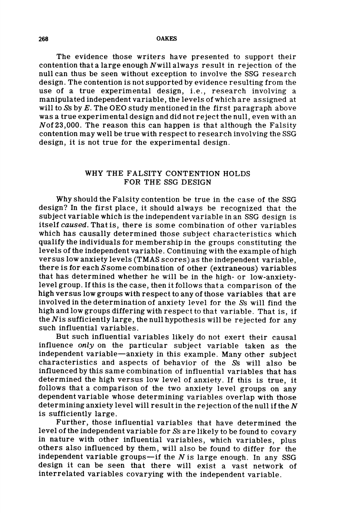268 OAKES

The evidence those writers have presented to support their contention that a large enough *Nwill* always result in rejection of the null can thus be seen without exception to involve the SSG research design. The contention is not supported by evidence resulting from the use of a true experimental design, i.e., research involving a manipulated independent variable, the levels ofwhich are assigned at will to Ss by *E.* The OEO study mentioned in the first paragraph above was a true experimental design and did not reject the null, even with an *Nof23,OOO.* The reason this can happen is that although the Falsity contention may weIl be true with respect to research involving the SSG design, it is not true for the experimental design.

# WHY THE FALSITY CONTENTION HOLDS FOR THE SSG DESIGN

Why should the Falsity contention be true in the case of the SSG design? In the first place, it should always be recognized that the subject variable which is the independent variable in an SSG design is itself *caused.* That is, there is some combination of other variables which has causally determined those subject characteristics which qualify the individuals for membership in the groups constituting the levels of the independent variable. Continuing with the example ofhigh versus low anxiety levels (TMAS scores) as the independent variable, there is for each Ssome combination of other (extraneous) variables that has determined whether he will be in the high- or low-anxietylevel group. 1fthis is the case, then it follows that a comparison of the high versus low groups with respect to any of those variables that are involved in the determination of anxiety level for the Ss will find the high and low groups differing with respect to that variable. That iS, if the *Nis* sufficiently large, the null hypothesis will be rejected for any such influential variables.

But such influential variables likely do not exert their causal influence *only* on the particular subject variable taken as the independent variable-anxiety in this example. Many other subject characteristics and aspects of behavior of the Ss will also be influenced by this same combination of influential variables that has determined the high versus low level of anxiety. If this is true, it follows that a comparison of the two anxiety level groups on any dependent variable whose determining variables overlap with those determining anxiety level will result in the rejection of the null if the *N*  is sufficiently large.

Further, those influential variables that have determined the level of the independent variable for Ss are likely to be found to covary in nature with other influential variables, which variables, plus others also influenced by them, will also be found to differ for the independent variable groups-if the *N* is large enough. In any SSG design it can be seen that there will exist a vast network of interrelated variables covarying with the independent variable.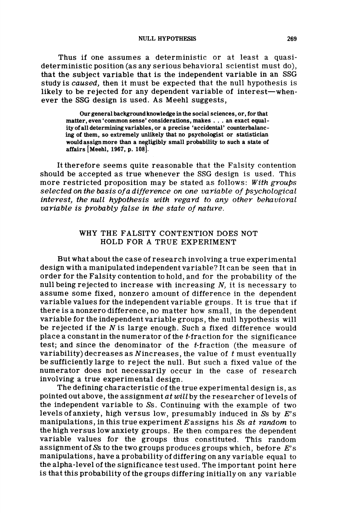Thus if one assumes a deterministic or at least a quasideterministic position (as any serious behavioral scientist must do), that the subject variable that is the independent variable in an SSG study is *caused,* then it must be expected that the null hypothesis is likely to be rejected for any dependent variable of interest—whenever the SSG design is used. As Meehl suggests,

Our general background knowledge in the social sciences, or, for that matter, even 'common sense' considerations, makes ... an exact equality of a11 determining variables, or a precise 'accidental' counterbalancing of them, so extremely unlikely that no psychologist or statistician would assign more than a negligibly small probability to such a state of affairs [Meehl, 1967, p. lOS].

It therefore seems quite reasonable that the Falsity contention should be accepted as true whenever the SSG design is used. This more restricted proposition may be stated as follows: *With groups selected on the basis ofa difference on one variable of Psychological interest, the null hypothesis with regard to any other behavioral variable is probably false in the state of nature.* 

## WHY THE FALSITY CONTENTION DOES NOT HOLD FOR A TRUE EXPERIMENT

But what about the case of research involving a true experimental design with a manipulated independent variable? It can be seen that in order for the Falsity contention to hold, and for the probability of the null being rejected to increase with increasing *N,* it is necessary to assume some fixed, nonzero amount of difference in the dependent variable values for the independent variable groups. It is true that if there is a nonzero difference, no matter how small, in the dependent variable for the independent variable groups, the null hypothesis will be rejected if the *N* is large enough. Such a fixed difference would place a constant in the numerator of the t-fraction for the significance test; and since the denominator of the t-fraction (the measure of variability) decreases as Nincreases, the value of *t* must eventually be sufficiently large to reject the null. But such a fixed value of the numerator does not necessarily occur in the case of research involving a true experimental design.

The defining characteristic of the true experimental design is, as pointed out above, the assignment *at will* by the researcher of levels of the independent variable to Ss. Continuing with the example of two levels ofanxiety, high versus lovr, presumably induced in Ss by *E's*  manipulations, in this true experiment Eassigns his Ss *at random* to the high versus low anxiety groups. He then compares the dependent variable values for the groups thus constituted. This random assignment of Ss to the two groups produces groups which, before *E's*  manipulations, ha ve a probability of differing on any variable equal to the alpha-level of the significance test used. The important point here is that this probability of the groups differing initially on any variable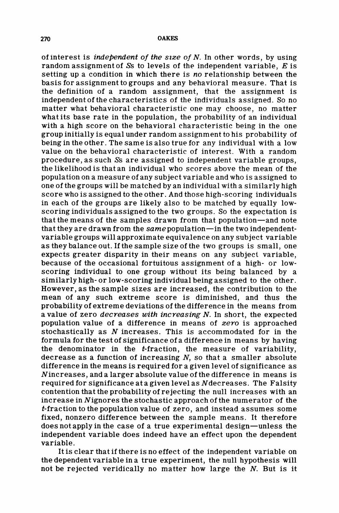ofinterest is *independent* 0/ *the Slze* 0/ *N.* In other words, by using random assignment of Ss to levels of the independent variable, *E* is setting up a condition in which there is *no* relationship between the basis for assignment to groups and any behavioral measure. That is the definition of a random assignment, that the assignment is independent of the characteristics of the individuals assigned. So no matter what behavioral characteristic one may choose, no matter what its base rate in the population, the probability of an individual with a high score on the behavioral characteristic being in the one group initially is equal under random assignment to his probability of being in the other. The same is also true for any individual with a low value on the behavioral characteristic of interest. With a random procedure, as such Ss are assigned to independent variable groups, the likelihood is that an individual who scores above the mean of the population on a measure of any subject variable and who is assigned to one ofthe groups will be matched by an individual with a similarly high score who is assigned to the other. And those high-scoring individuals in each of the groups are likely also to be matched by equally lowscoring individuals assigned to the two groups. So the expectation is that the means of the sampies drawn from that population-and note that they are drawn from the *same* population-in the two independentvariable groups will approximate equivalence on any subject variable as they balance out. If the sampie size of the two groups is small, one expects greater disparity in their means on any subject variable, because of the occasional fortuitous assignment of a high- or lowscoring individual to one group without its being balanced by a similarly high- or low-scoring individual being assigned to the other. However, as the sampie sizes are increased, the contribution to the mean of any such extreme score is diminished, and thus the probability of extreme deviations of the difference in the means from a value of zero *decreases with increasing N.* In short, the expected population value of a difference in means of *zero* is approached stochastically as *N* increases. This is accommodated for in the formula for the test of significance of a difference in means by having the denominator in the  $t$ -fraction, the measure of variability, decrease as a function of increasing *N,* so that a smaller absolute difference in the means is required for a given level of significance as Nincreases, and a larger absolute value of the difference in means is required for significance at a given level as Ndecreases. The Falsity contention that the probability of rejecting the null increases with an increase in Nignores the stochastic approach of the numerator of the t-fraction to the population value of zero, and instead assumes some fixed, nonzero difference between the sampie means. It therefore does not apply in the case of a true experimental design-unless the independent variable does indeed have an effect upon the dependent variable.

It is clear that if there is no effect of the independent variable on the dependent variable in a true experiment, the null hypothesis will not be rejected veridically no matter how large the *N.* But is it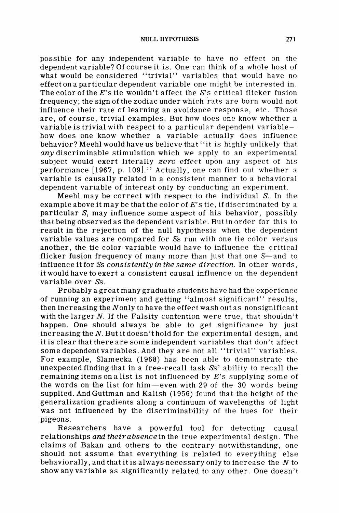possible for any independent variable to have no effect on the dependent variable? Of course it is. One can think of a whole host of what would be considered "trivial" variables that would have no effect on a particular dependent variable one might be interested in. The color of the  $E$ 's tie wouldn't affect the  $S$ 's critical flicker fusion frequency; the sign of the zodiac under which rats are born would not influence their rate of learning an avoidance response, etc. Those are, of course, trivial examples. But how does one know whether a variable is trivial with respect to a particular dependent variablehow does one know whether a variable actually does influence behavior? Meehl would have us believe that "it is highly unlikely that *any* discriminable stimulation which we apply to an experimental subject would exert literally *zero* effect upon any aspect of his performance [1967, p. 109]." Actually, one can find out whether a variable is causally related in a consistent manner to a behavioral dependent variable of interest only by conducting an experiment.

Meehl may be correct with respect to the individual S. In the example above it may be that the color of *E's* tie, if discriminated by a particular S, may influence some aspect of his behavior, possibly that being observed as the dependent variable. But in order for this to result in the rejection of the null hypothesis when the dependent variable values are compared for Ss run with one tie color versus another, the tie color variable would have to influence the critical flicker fusion frequency of many more than just that one  $S<sub>-</sub>$  and to influence it for Ss *consistently in the same direction.* In other words, it would have to exert a consistent causal influence on the dependent variable over Ss.

Probablya great many graduate students have had the experience of running an experiment and getting "almost significant" results, then increasing the Nonly to have the effect wash out as nonsignificant with the larger *N.* If the Falsity contention were true, that shouldn't happen. One should always be able to get significance by just increasing the *N.* But it doesn't hold for the experimental design, and it is clear that there are some independent variables that don 't affect some dependent variables. And they are not all "trivial" variables. For example, Slamecka (1968) has been able to demonstrate the unexpected finding that in a free-recall task Ss' ability to recall the remaining items on a list is not influenced by *E's* supplying some of the words on the list for him -even with 29 of the 30 words being supplied. And Guttman and Kalish (1956) found that the height of the generalization gradients along a continuum of wavelengths of light was not influenced by the discriminability of the hues for their pigeons.

Researchers have a powerful tool for detecting causal relationships *and theirabsencein* the true experimental design. The claims of Bakan and others to the contrary notwithstanding, one should not assume that everything is related to everything else behaviorally, and that it is always necessary only to increase the *N* to show any variable as significantly related to any other. One doesn't